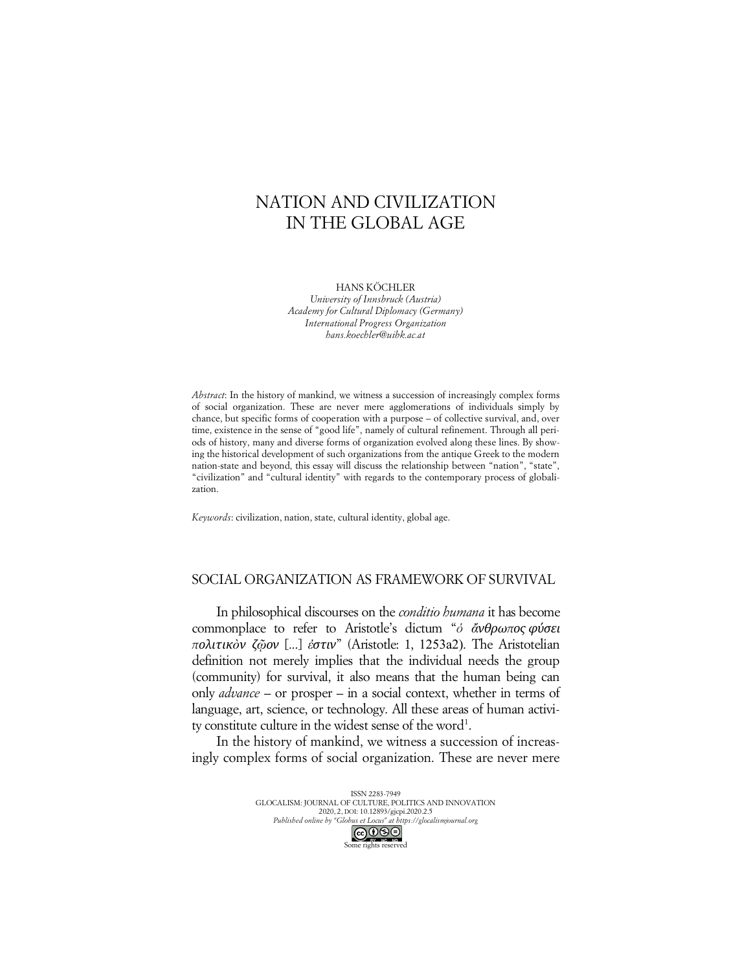# NATION AND CIVILIZATION IN THE GLOBAL AGE

HANS KÖCHLER

*University of Innsbruck (Austria) Academy for Cultural Diplomacy (Germany) International Progress Organization hans.koechler@uibk.ac.at*

*Abstract*: In the history of mankind, we witness a succession of increasingly complex forms of social organization. These are never mere agglomerations of individuals simply by chance, but specific forms of cooperation with a purpose – of collective survival, and, over time, existence in the sense of "good life", namely of cultural refinement. Through all periods of history, many and diverse forms of organization evolved along these lines. By showing the historical development of such organizations from the antique Greek to the modern nation-state and beyond, this essay will discuss the relationship between "nation", "state", "civilization" and "cultural identity" with regards to the contemporary process of globalization.

*Keywords*: civilization, nation, state, cultural identity, global age.

# SOCIAL ORGANIZATION AS FRAMEWORK OF SURVIVAL

In philosophical discourses on the *conditio humana* it has become commonplace to refer to Aristotle's dictum "*ὁ ἄνθρωπος φύσει πολιτικὸν ζῷον* [...] *ἐστιν*" (Aristotle: 1, 1253a2). The Aristotelian definition not merely implies that the individual needs the group (community) for survival, it also means that the human being can only *advance* – or prosper – in a social context, whether in terms of language, art, science, or technology. All these areas of human activity constitute culture in the widest sense of the word<sup>1</sup>.

In the history of mankind, we witness a succession of increasingly complex forms of social organization. These are never mere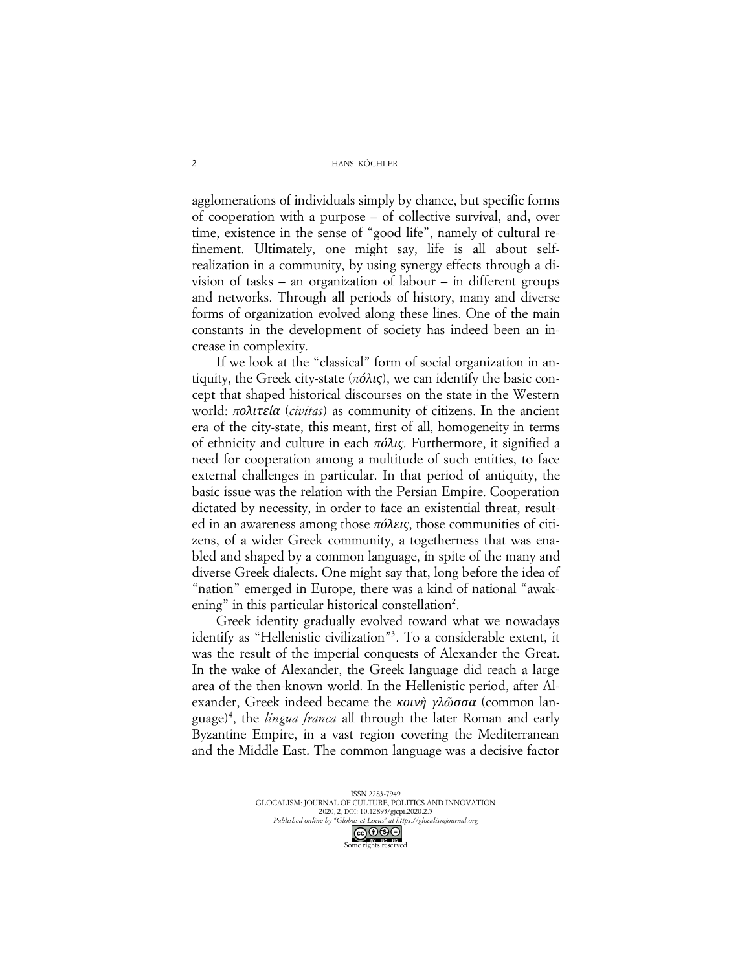agglomerations of individuals simply by chance, but specific forms of cooperation with a purpose – of collective survival, and, over time, existence in the sense of "good life", namely of cultural refinement. Ultimately, one might say, life is all about selfrealization in a community, by using synergy effects through a division of tasks – an organization of labour – in different groups and networks. Through all periods of history, many and diverse forms of organization evolved along these lines. One of the main constants in the development of society has indeed been an increase in complexity.

If we look at the "classical" form of social organization in antiquity, the Greek city-state (*πόλις*), we can identify the basic concept that shaped historical discourses on the state in the Western world: *πολιτεία* (*civitas*) as community of citizens. In the ancient era of the city-state, this meant, first of all, homogeneity in terms of ethnicity and culture in each *πόλις*. Furthermore, it signified a need for cooperation among a multitude of such entities, to face external challenges in particular. In that period of antiquity, the basic issue was the relation with the Persian Empire. Cooperation dictated by necessity, in order to face an existential threat, resulted in an awareness among those *πόλεις*, those communities of citizens, of a wider Greek community, a togetherness that was enabled and shaped by a common language, in spite of the many and diverse Greek dialects. One might say that, long before the idea of "nation" emerged in Europe, there was a kind of national "awakening" in this particular historical constellation<sup>2</sup>.

Greek identity gradually evolved toward what we nowadays identify as "Hellenistic civilization"3 . To a considerable extent, it was the result of the imperial conquests of Alexander the Great. In the wake of Alexander, the Greek language did reach a large area of the then-known world. In the Hellenistic period, after Alexander, Greek indeed became the *κοινὴ γλῶσσα* (common language)4 , the *lingua franca* all through the later Roman and early Byzantine Empire, in a vast region covering the Mediterranean and the Middle East. The common language was a decisive factor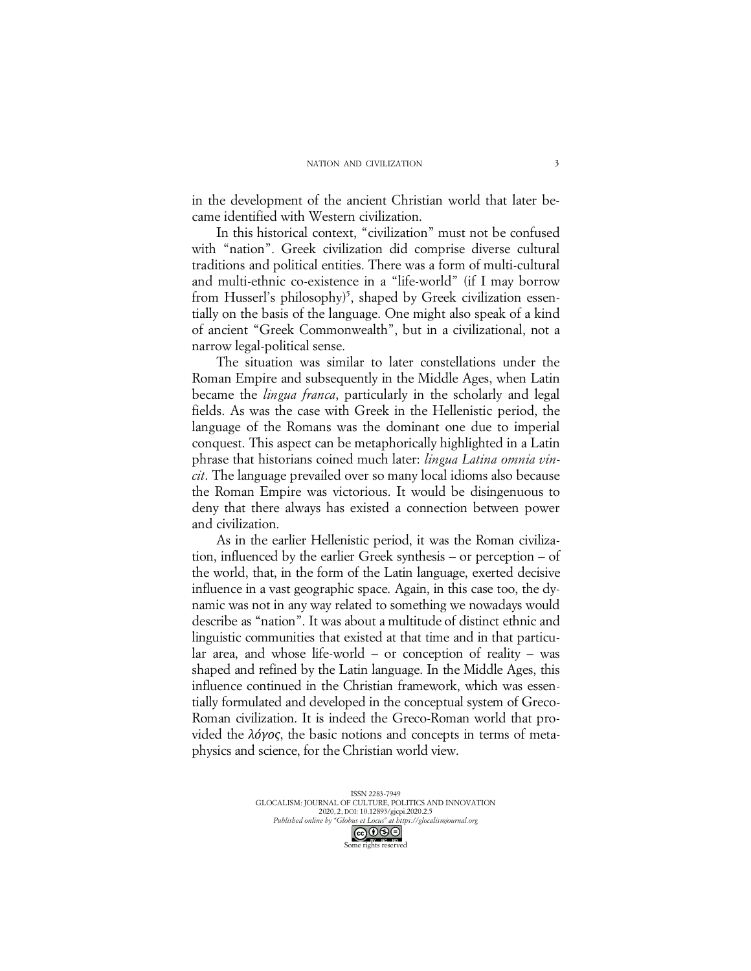in the development of the ancient Christian world that later became identified with Western civilization.

In this historical context, "civilization" must not be confused with "nation". Greek civilization did comprise diverse cultural traditions and political entities. There was a form of multi-cultural and multi-ethnic co-existence in a "life-world" (if I may borrow from Husserl's philosophy)<sup>5</sup>, shaped by Greek civilization essentially on the basis of the language. One might also speak of a kind of ancient "Greek Commonwealth", but in a civilizational, not a narrow legal-political sense.

The situation was similar to later constellations under the Roman Empire and subsequently in the Middle Ages, when Latin became the *lingua franca*, particularly in the scholarly and legal fields. As was the case with Greek in the Hellenistic period, the language of the Romans was the dominant one due to imperial conquest. This aspect can be metaphorically highlighted in a Latin phrase that historians coined much later: *lingua Latina omnia vincit*. The language prevailed over so many local idioms also because the Roman Empire was victorious. It would be disingenuous to deny that there always has existed a connection between power and civilization.

As in the earlier Hellenistic period, it was the Roman civilization, influenced by the earlier Greek synthesis – or perception – of the world, that, in the form of the Latin language, exerted decisive influence in a vast geographic space. Again, in this case too, the dynamic was not in any way related to something we nowadays would describe as "nation". It was about a multitude of distinct ethnic and linguistic communities that existed at that time and in that particular area, and whose life-world – or conception of reality – was shaped and refined by the Latin language. In the Middle Ages, this influence continued in the Christian framework, which was essentially formulated and developed in the conceptual system of Greco-Roman civilization. It is indeed the Greco-Roman world that provided the *λόγος*, the basic notions and concepts in terms of metaphysics and science, for the Christian world view.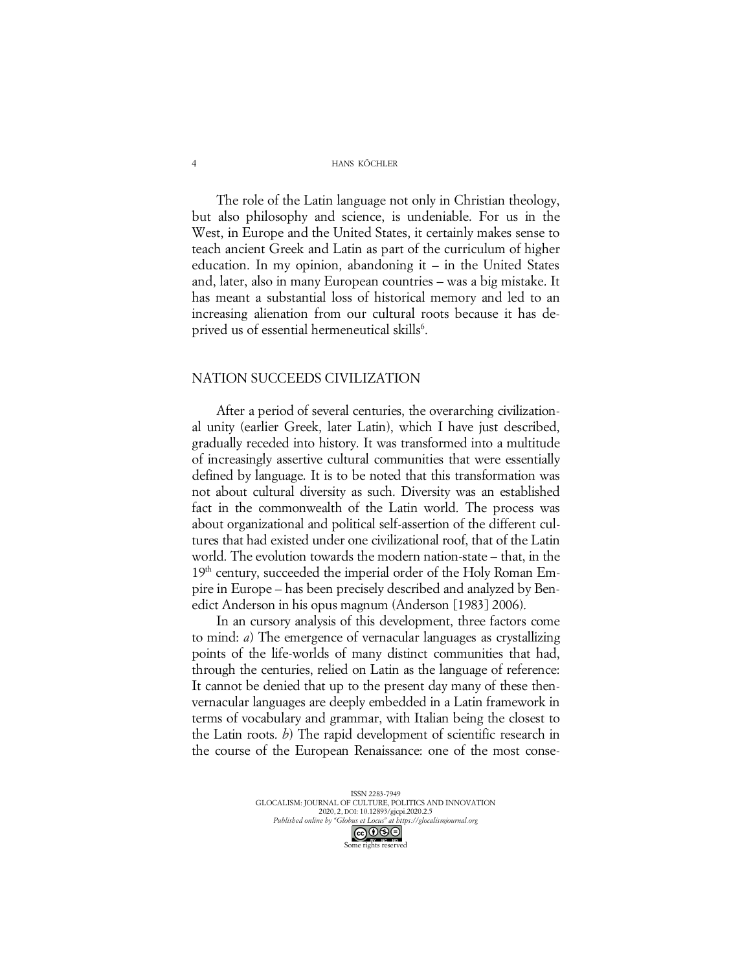The role of the Latin language not only in Christian theology, but also philosophy and science, is undeniable. For us in the West, in Europe and the United States, it certainly makes sense to teach ancient Greek and Latin as part of the curriculum of higher education. In my opinion, abandoning it – in the United States and, later, also in many European countries – was a big mistake. It has meant a substantial loss of historical memory and led to an increasing alienation from our cultural roots because it has deprived us of essential hermeneutical skills<sup>6</sup>.

### NATION SUCCEEDS CIVILIZATION

After a period of several centuries, the overarching civilizational unity (earlier Greek, later Latin), which I have just described, gradually receded into history. It was transformed into a multitude of increasingly assertive cultural communities that were essentially defined by language. It is to be noted that this transformation was not about cultural diversity as such. Diversity was an established fact in the commonwealth of the Latin world. The process was about organizational and political self-assertion of the different cultures that had existed under one civilizational roof, that of the Latin world. The evolution towards the modern nation-state – that, in the 19<sup>th</sup> century, succeeded the imperial order of the Holy Roman Empire in Europe – has been precisely described and analyzed by Benedict Anderson in his opus magnum (Anderson [1983] 2006).

In an cursory analysis of this development, three factors come to mind: *a*) The emergence of vernacular languages as crystallizing points of the life-worlds of many distinct communities that had, through the centuries, relied on Latin as the language of reference: It cannot be denied that up to the present day many of these thenvernacular languages are deeply embedded in a Latin framework in terms of vocabulary and grammar, with Italian being the closest to the Latin roots. *b*) The rapid development of scientific research in the course of the European Renaissance: one of the most conse-

> ISSN 2283-7949 GLOCALISM: JOURNAL OF CULTURE, POLITICS AND INNOVATION 2020, 2, DOI: 10.12893/gjcpi.2020.2.5 *Published online by "Globus et Locus" at https://glocalismjournal.org* Some rights reserved

4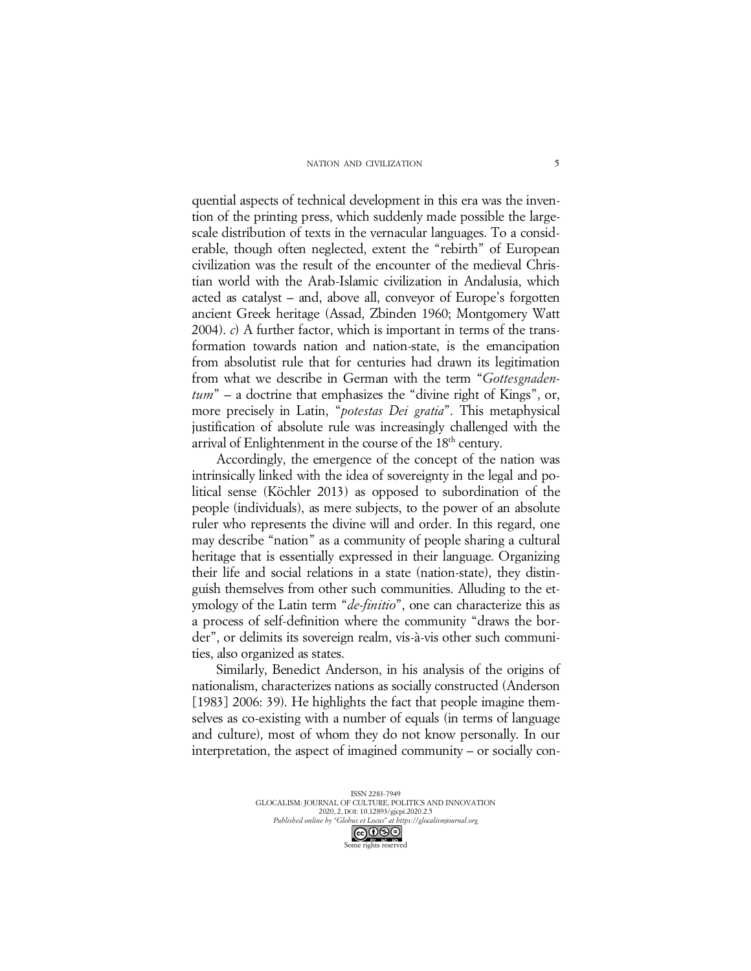#### NATION AND CIVILIZATION

quential aspects of technical development in this era was the invention of the printing press, which suddenly made possible the largescale distribution of texts in the vernacular languages. To a considerable, though often neglected, extent the "rebirth" of European civilization was the result of the encounter of the medieval Christian world with the Arab-Islamic civilization in Andalusia, which acted as catalyst – and, above all, conveyor of Europe's forgotten ancient Greek heritage (Assad, Zbinden 1960; Montgomery Watt 2004). *c*) A further factor, which is important in terms of the transformation towards nation and nation-state, is the emancipation from absolutist rule that for centuries had drawn its legitimation from what we describe in German with the term "*Gottesgnadentum*" – a doctrine that emphasizes the "divine right of Kings", or, more precisely in Latin, "*potestas Dei gratia*". This metaphysical justification of absolute rule was increasingly challenged with the arrival of Enlightenment in the course of the 18<sup>th</sup> century.

Accordingly, the emergence of the concept of the nation was intrinsically linked with the idea of sovereignty in the legal and political sense (Köchler 2013) as opposed to subordination of the people (individuals), as mere subjects, to the power of an absolute ruler who represents the divine will and order. In this regard, one may describe "nation" as a community of people sharing a cultural heritage that is essentially expressed in their language. Organizing their life and social relations in a state (nation-state), they distinguish themselves from other such communities. Alluding to the etymology of the Latin term "*de-finitio*", one can characterize this as a process of self-definition where the community "draws the border", or delimits its sovereign realm, vis-à-vis other such communities, also organized as states.

Similarly, Benedict Anderson, in his analysis of the origins of nationalism, characterizes nations as socially constructed (Anderson [1983] 2006: 39). He highlights the fact that people imagine themselves as co-existing with a number of equals (in terms of language and culture), most of whom they do not know personally. In our interpretation, the aspect of imagined community – or socially con-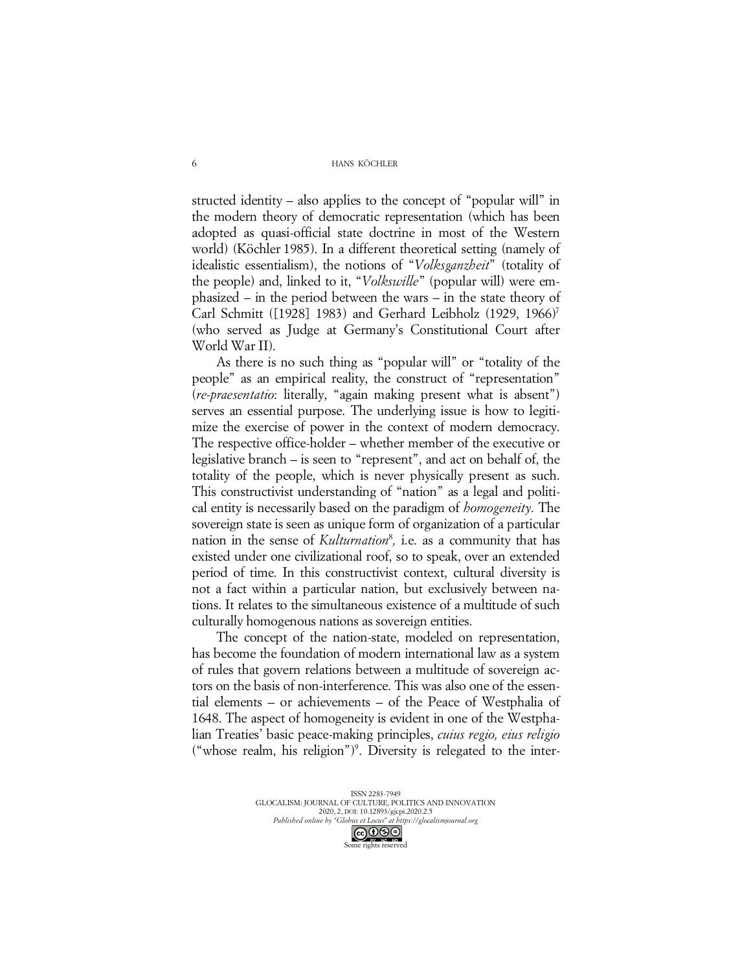structed identity – also applies to the concept of "popular will" in the modern theory of democratic representation (which has been adopted as quasi-official state doctrine in most of the Western world) (Köchler 1985). In a different theoretical setting (namely of idealistic essentialism), the notions of "*Volksganzheit*" (totality of the people) and, linked to it, "*Volkswille*" (popular will) were emphasized – in the period between the wars – in the state theory of Carl Schmitt ([1928] 1983) and Gerhard Leibholz (1929, 1966)7 (who served as Judge at Germany's Constitutional Court after World War II).

As there is no such thing as "popular will" or "totality of the people" as an empirical reality, the construct of "representation" (*re-praesentatio*: literally, "again making present what is absent") serves an essential purpose. The underlying issue is how to legitimize the exercise of power in the context of modern democracy. The respective office-holder – whether member of the executive or legislative branch – is seen to "represent", and act on behalf of, the totality of the people, which is never physically present as such. This constructivist understanding of "nation" as a legal and political entity is necessarily based on the paradigm of *homogeneity*. The sovereign state is seen as unique form of organization of a particular nation in the sense of *Kulturnation*<sup>8</sup> *,* i.e. as a community that has existed under one civilizational roof, so to speak, over an extended period of time. In this constructivist context, cultural diversity is not a fact within a particular nation, but exclusively between nations. It relates to the simultaneous existence of a multitude of such culturally homogenous nations as sovereign entities.

The concept of the nation-state, modeled on representation, has become the foundation of modern international law as a system of rules that govern relations between a multitude of sovereign actors on the basis of non-interference. This was also one of the essential elements – or achievements – of the Peace of Westphalia of 1648. The aspect of homogeneity is evident in one of the Westphalian Treaties' basic peace-making principles, *cuius regio, eius religio* ("whose realm, his religion") 9 . Diversity is relegated to the inter-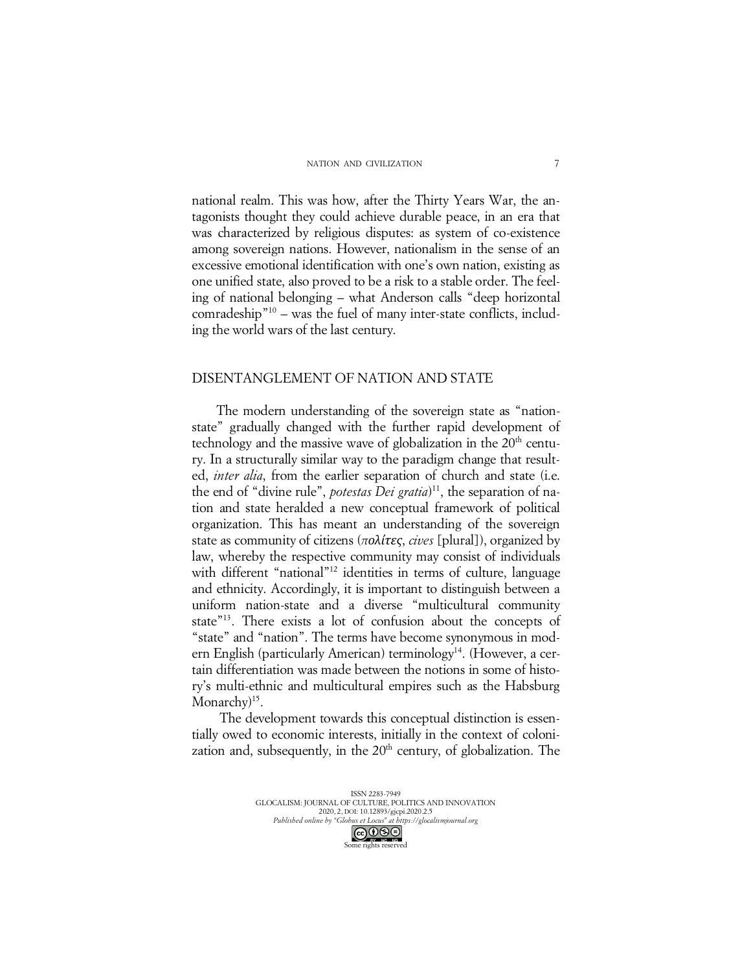national realm. This was how, after the Thirty Years War, the antagonists thought they could achieve durable peace, in an era that was characterized by religious disputes: as system of co-existence among sovereign nations. However, nationalism in the sense of an excessive emotional identification with one's own nation, existing as one unified state, also proved to be a risk to a stable order. The feeling of national belonging – what Anderson calls "deep horizontal comradeship"10 – was the fuel of many inter-state conflicts, including the world wars of the last century.

## DISENTANGLEMENT OF NATION AND STATE

The modern understanding of the sovereign state as "nationstate" gradually changed with the further rapid development of technology and the massive wave of globalization in the  $20<sup>th</sup>$  century. In a structurally similar way to the paradigm change that resulted, *inter alia*, from the earlier separation of church and state (i.e. the end of "divine rule", *potestas Dei gratia*)<sup>11</sup>, the separation of nation and state heralded a new conceptual framework of political organization. This has meant an understanding of the sovereign state as community of citizens (*πολίτες*, *cives* [plural]), organized by law, whereby the respective community may consist of individuals with different "national"<sup>12</sup> identities in terms of culture, language and ethnicity. Accordingly, it is important to distinguish between a uniform nation-state and a diverse "multicultural community state"13. There exists a lot of confusion about the concepts of "state" and "nation". The terms have become synonymous in modern English (particularly American) terminology<sup>14</sup>. (However, a certain differentiation was made between the notions in some of history's multi-ethnic and multicultural empires such as the Habsburg Monarchy<sup>15</sup>.

The development towards this conceptual distinction is essentially owed to economic interests, initially in the context of colonization and, subsequently, in the  $20<sup>th</sup>$  century, of globalization. The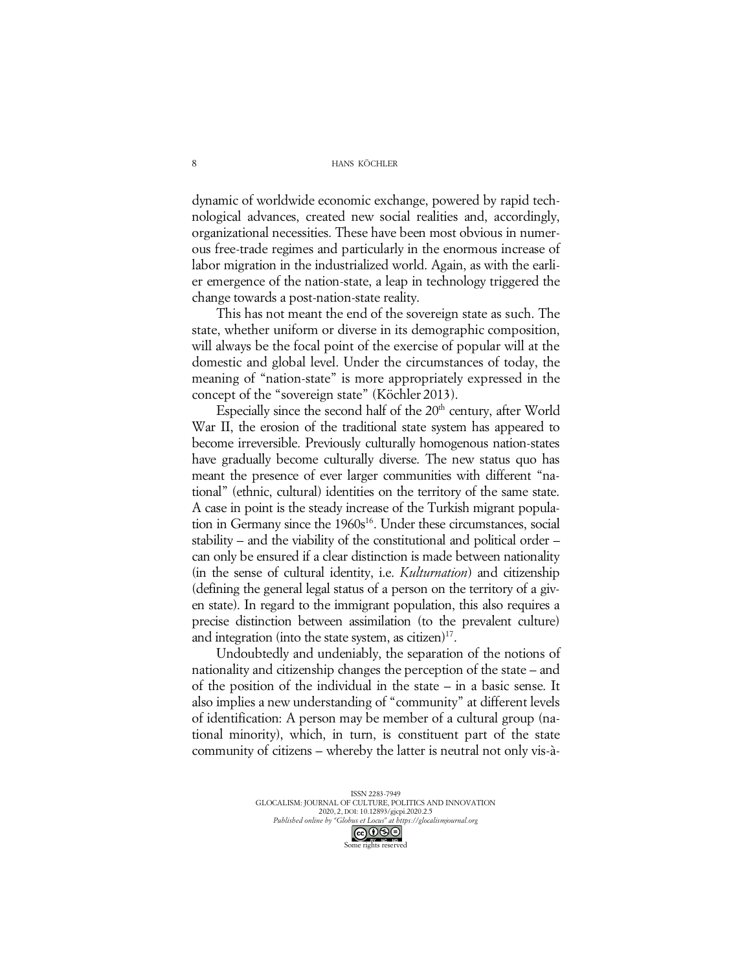dynamic of worldwide economic exchange, powered by rapid technological advances, created new social realities and, accordingly, organizational necessities. These have been most obvious in numerous free-trade regimes and particularly in the enormous increase of labor migration in the industrialized world. Again, as with the earlier emergence of the nation-state, a leap in technology triggered the change towards a post-nation-state reality.

This has not meant the end of the sovereign state as such. The state, whether uniform or diverse in its demographic composition, will always be the focal point of the exercise of popular will at the domestic and global level. Under the circumstances of today, the meaning of "nation-state" is more appropriately expressed in the concept of the "sovereign state" (Köchler 2013).

Especially since the second half of the  $20<sup>th</sup>$  century, after World War II, the erosion of the traditional state system has appeared to become irreversible. Previously culturally homogenous nation-states have gradually become culturally diverse. The new status quo has meant the presence of ever larger communities with different "national" (ethnic, cultural) identities on the territory of the same state. A case in point is the steady increase of the Turkish migrant population in Germany since the 1960s<sup>16</sup>. Under these circumstances, social stability – and the viability of the constitutional and political order – can only be ensured if a clear distinction is made between nationality (in the sense of cultural identity, i.e. *Kulturnation*) and citizenship (defining the general legal status of a person on the territory of a given state). In regard to the immigrant population, this also requires a precise distinction between assimilation (to the prevalent culture) and integration (into the state system, as citizen) $17$ .

Undoubtedly and undeniably, the separation of the notions of nationality and citizenship changes the perception of the state – and of the position of the individual in the state – in a basic sense. It also implies a new understanding of "community" at different levels of identification: A person may be member of a cultural group (national minority), which, in turn, is constituent part of the state community of citizens – whereby the latter is neutral not only vis-à-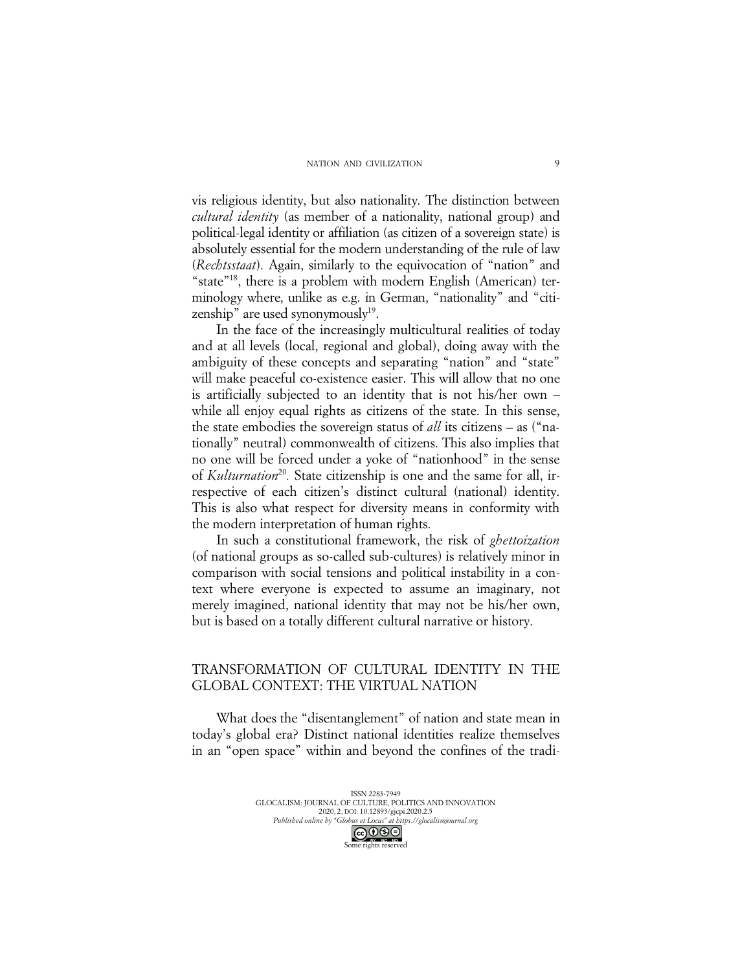vis religious identity, but also nationality. The distinction between *cultural identity* (as member of a nationality, national group) and political-legal identity or affiliation (as citizen of a sovereign state) is absolutely essential for the modern understanding of the rule of law (*Rechtsstaat*). Again, similarly to the equivocation of "nation" and "state"<sup>18</sup>, there is a problem with modern English (American) terminology where, unlike as e.g. in German, "nationality" and "citizenship" are used synonymously<sup>19</sup>.

In the face of the increasingly multicultural realities of today and at all levels (local, regional and global), doing away with the ambiguity of these concepts and separating "nation" and "state" will make peaceful co-existence easier. This will allow that no one is artificially subjected to an identity that is not his/her own – while all enjoy equal rights as citizens of the state. In this sense, the state embodies the sovereign status of *all* its citizens – as ("nationally" neutral) commonwealth of citizens. This also implies that no one will be forced under a yoke of "nationhood" in the sense of *Kulturnation*<sup>20</sup>. State citizenship is one and the same for all, irrespective of each citizen's distinct cultural (national) identity. This is also what respect for diversity means in conformity with the modern interpretation of human rights.

In such a constitutional framework, the risk of *ghettoization*  (of national groups as so-called sub-cultures) is relatively minor in comparison with social tensions and political instability in a context where everyone is expected to assume an imaginary, not merely imagined, national identity that may not be his/her own, but is based on a totally different cultural narrative or history.

# TRANSFORMATION OF CULTURAL IDENTITY IN THE GLOBAL CONTEXT: THE VIRTUAL NATION

What does the "disentanglement" of nation and state mean in today's global era? Distinct national identities realize themselves in an "open space" within and beyond the confines of the tradi-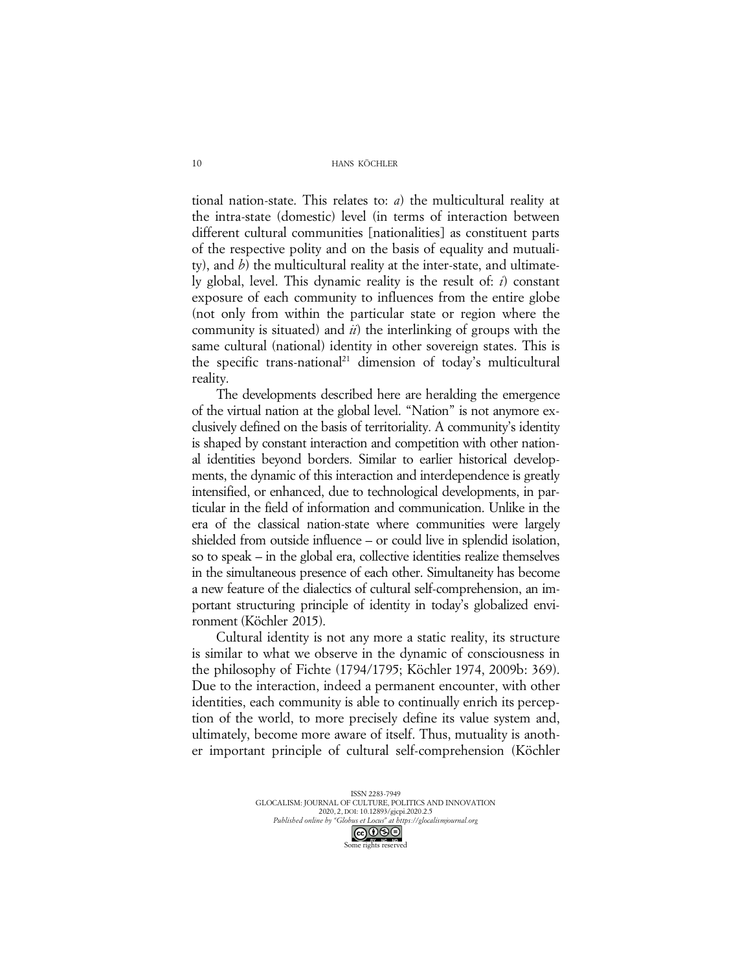tional nation-state. This relates to: *a*) the multicultural reality at the intra-state (domestic) level (in terms of interaction between different cultural communities [nationalities] as constituent parts of the respective polity and on the basis of equality and mutuality), and *b*) the multicultural reality at the inter-state, and ultimately global, level. This dynamic reality is the result of: *i*) constant exposure of each community to influences from the entire globe (not only from within the particular state or region where the community is situated) and *ii*) the interlinking of groups with the same cultural (national) identity in other sovereign states. This is the specific trans-national<sup>21</sup> dimension of today's multicultural reality.

The developments described here are heralding the emergence of the virtual nation at the global level. "Nation" is not anymore exclusively defined on the basis of territoriality. A community's identity is shaped by constant interaction and competition with other national identities beyond borders. Similar to earlier historical developments, the dynamic of this interaction and interdependence is greatly intensified, or enhanced, due to technological developments, in particular in the field of information and communication. Unlike in the era of the classical nation-state where communities were largely shielded from outside influence – or could live in splendid isolation, so to speak – in the global era, collective identities realize themselves in the simultaneous presence of each other. Simultaneity has become a new feature of the dialectics of cultural self-comprehension, an important structuring principle of identity in today's globalized environment (Köchler 2015).

Cultural identity is not any more a static reality, its structure is similar to what we observe in the dynamic of consciousness in the philosophy of Fichte (1794/1795; Köchler 1974, 2009b: 369). Due to the interaction, indeed a permanent encounter, with other identities, each community is able to continually enrich its perception of the world, to more precisely define its value system and, ultimately, become more aware of itself. Thus, mutuality is another important principle of cultural self-comprehension (Köchler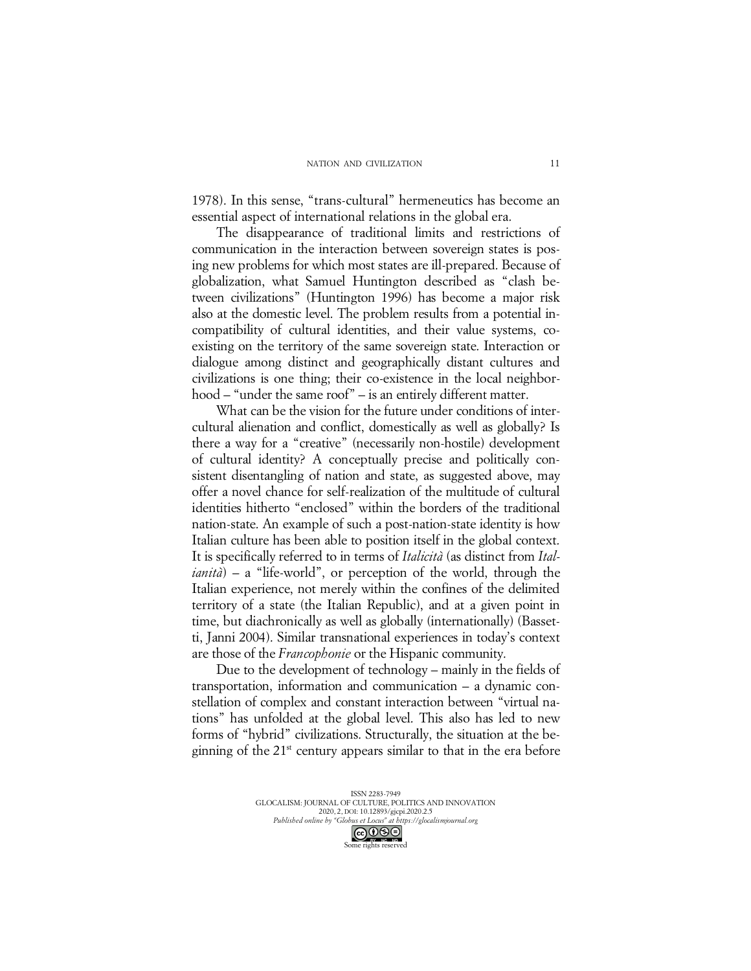1978). In this sense, "trans-cultural" hermeneutics has become an essential aspect of international relations in the global era.

The disappearance of traditional limits and restrictions of communication in the interaction between sovereign states is posing new problems for which most states are ill-prepared. Because of globalization, what Samuel Huntington described as "clash between civilizations" (Huntington 1996) has become a major risk also at the domestic level. The problem results from a potential incompatibility of cultural identities, and their value systems, coexisting on the territory of the same sovereign state. Interaction or dialogue among distinct and geographically distant cultures and civilizations is one thing; their co-existence in the local neighborhood – "under the same roof" – is an entirely different matter.

What can be the vision for the future under conditions of intercultural alienation and conflict, domestically as well as globally? Is there a way for a "creative" (necessarily non-hostile) development of cultural identity? A conceptually precise and politically consistent disentangling of nation and state, as suggested above, may offer a novel chance for self-realization of the multitude of cultural identities hitherto "enclosed" within the borders of the traditional nation-state. An example of such a post-nation-state identity is how Italian culture has been able to position itself in the global context. It is specifically referred to in terms of *Italicità* (as distinct from *Italianità*) – a "life-world", or perception of the world, through the Italian experience, not merely within the confines of the delimited territory of a state (the Italian Republic), and at a given point in time, but diachronically as well as globally (internationally) (Bassetti, Janni 2004). Similar transnational experiences in today's context are those of the *Francophonie* or the Hispanic community.

Due to the development of technology – mainly in the fields of transportation, information and communication – a dynamic constellation of complex and constant interaction between "virtual nations" has unfolded at the global level. This also has led to new forms of "hybrid" civilizations. Structurally, the situation at the beginning of the  $21<sup>st</sup>$  century appears similar to that in the era before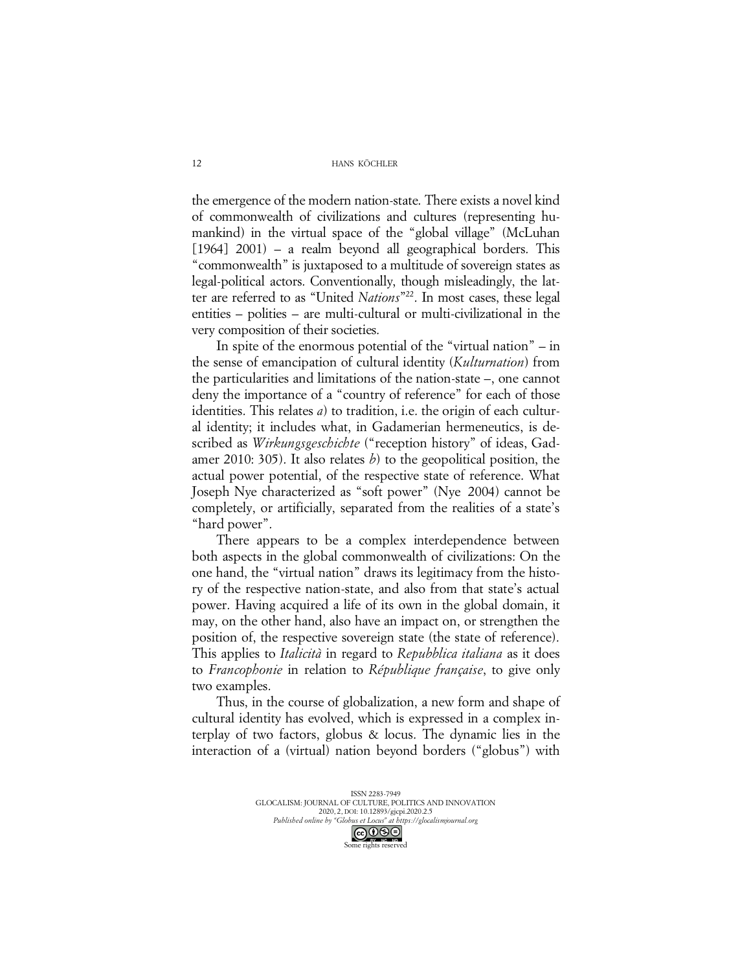the emergence of the modern nation-state. There exists a novel kind of commonwealth of civilizations and cultures (representing humankind) in the virtual space of the "global village" (McLuhan [1964] 2001) – a realm beyond all geographical borders. This "commonwealth" is juxtaposed to a multitude of sovereign states as legal-political actors. Conventionally, though misleadingly, the latter are referred to as "United *Nations*"22. In most cases, these legal entities – polities – are multi-cultural or multi-civilizational in the very composition of their societies.

In spite of the enormous potential of the "virtual nation" – in the sense of emancipation of cultural identity (*Kulturnation*) from the particularities and limitations of the nation-state –, one cannot deny the importance of a "country of reference" for each of those identities. This relates *a*) to tradition, i.e. the origin of each cultural identity; it includes what, in Gadamerian hermeneutics, is described as *Wirkungsgeschichte* ("reception history" of ideas, Gadamer 2010: 305). It also relates *b*) to the geopolitical position, the actual power potential, of the respective state of reference. What Joseph Nye characterized as "soft power" (Nye 2004) cannot be completely, or artificially, separated from the realities of a state's "hard power".

There appears to be a complex interdependence between both aspects in the global commonwealth of civilizations: On the one hand, the "virtual nation" draws its legitimacy from the history of the respective nation-state, and also from that state's actual power. Having acquired a life of its own in the global domain, it may, on the other hand, also have an impact on, or strengthen the position of, the respective sovereign state (the state of reference). This applies to *Italicità* in regard to *Repubblica italiana* as it does to *Francophonie* in relation to *République française*, to give only two examples.

Thus, in the course of globalization, a new form and shape of cultural identity has evolved, which is expressed in a complex interplay of two factors, globus & locus. The dynamic lies in the interaction of a (virtual) nation beyond borders ("globus") with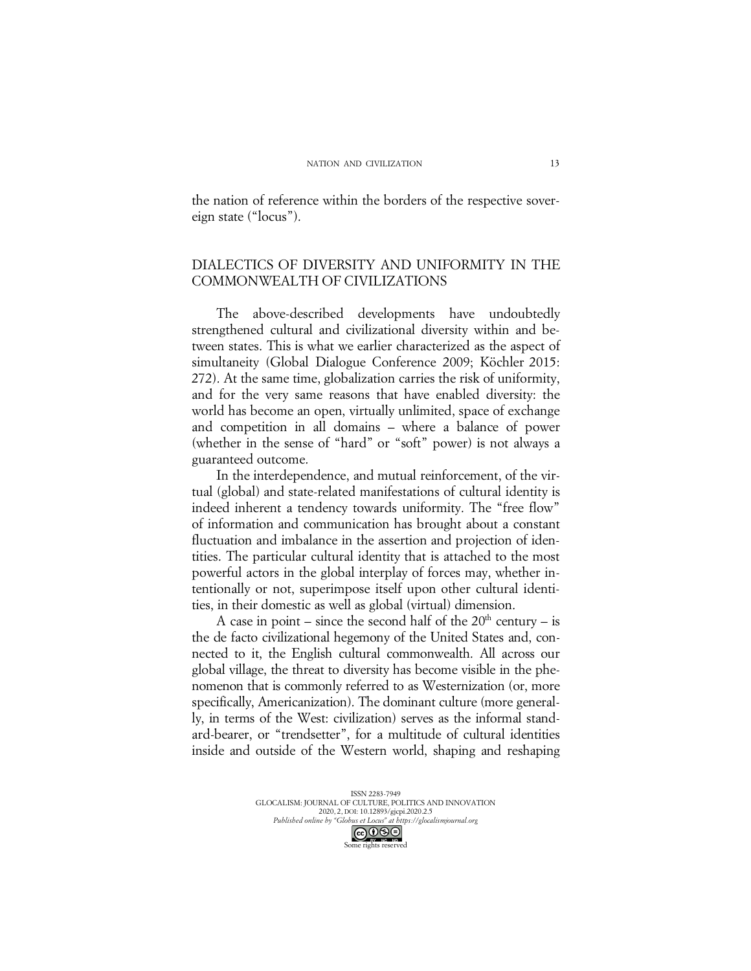the nation of reference within the borders of the respective sovereign state ("locus").

# DIALECTICS OF DIVERSITY AND UNIFORMITY IN THE COMMONWEALTH OF CIVILIZATIONS

The above-described developments have undoubtedly strengthened cultural and civilizational diversity within and between states. This is what we earlier characterized as the aspect of simultaneity (Global Dialogue Conference 2009; Köchler 2015: 272). At the same time, globalization carries the risk of uniformity, and for the very same reasons that have enabled diversity: the world has become an open, virtually unlimited, space of exchange and competition in all domains – where a balance of power (whether in the sense of "hard" or "soft" power) is not always a guaranteed outcome.

In the interdependence, and mutual reinforcement, of the virtual (global) and state-related manifestations of cultural identity is indeed inherent a tendency towards uniformity. The "free flow" of information and communication has brought about a constant fluctuation and imbalance in the assertion and projection of identities. The particular cultural identity that is attached to the most powerful actors in the global interplay of forces may, whether intentionally or not, superimpose itself upon other cultural identities, in their domestic as well as global (virtual) dimension.

A case in point – since the second half of the  $20<sup>th</sup>$  century – is the de facto civilizational hegemony of the United States and, connected to it, the English cultural commonwealth. All across our global village, the threat to diversity has become visible in the phenomenon that is commonly referred to as Westernization (or, more specifically, Americanization). The dominant culture (more generally, in terms of the West: civilization) serves as the informal standard-bearer, or "trendsetter", for a multitude of cultural identities inside and outside of the Western world, shaping and reshaping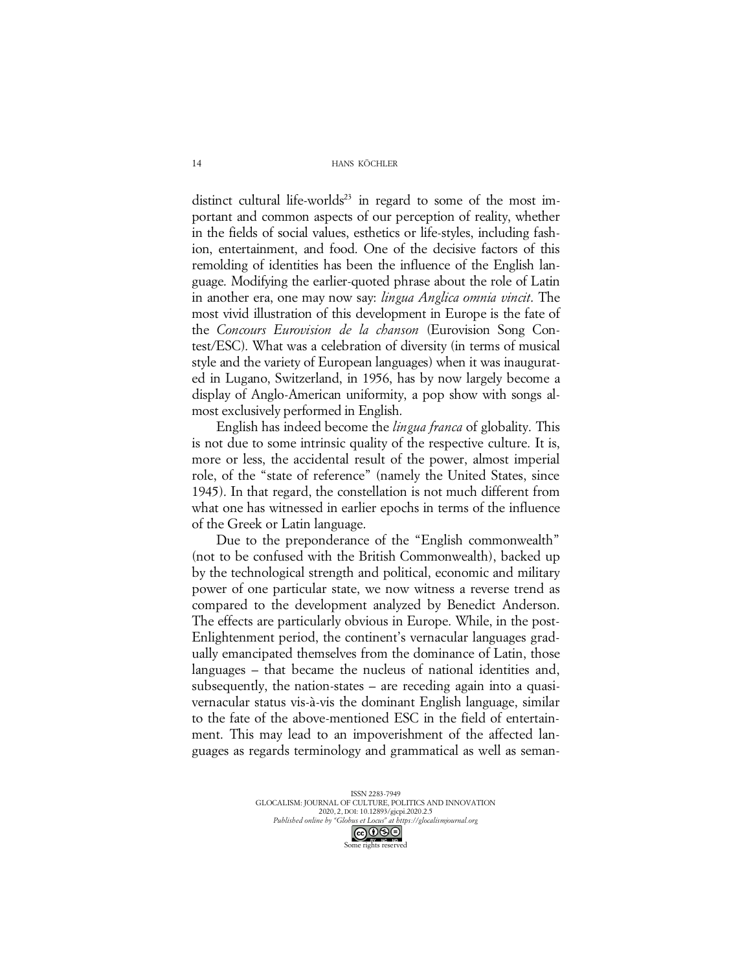distinct cultural life-worlds<sup>23</sup> in regard to some of the most important and common aspects of our perception of reality, whether in the fields of social values, esthetics or life-styles, including fashion, entertainment, and food. One of the decisive factors of this remolding of identities has been the influence of the English language. Modifying the earlier-quoted phrase about the role of Latin in another era, one may now say: *lingua Anglica omnia vincit*. The most vivid illustration of this development in Europe is the fate of the *Concours Eurovision de la chanson* (Eurovision Song Contest/ESC). What was a celebration of diversity (in terms of musical style and the variety of European languages) when it was inaugurated in Lugano, Switzerland, in 1956, has by now largely become a display of Anglo-American uniformity, a pop show with songs almost exclusively performed in English.

English has indeed become the *lingua franca* of globality. This is not due to some intrinsic quality of the respective culture. It is, more or less, the accidental result of the power, almost imperial role, of the "state of reference" (namely the United States, since 1945). In that regard, the constellation is not much different from what one has witnessed in earlier epochs in terms of the influence of the Greek or Latin language.

Due to the preponderance of the "English commonwealth" (not to be confused with the British Commonwealth), backed up by the technological strength and political, economic and military power of one particular state, we now witness a reverse trend as compared to the development analyzed by Benedict Anderson. The effects are particularly obvious in Europe. While, in the post-Enlightenment period, the continent's vernacular languages gradually emancipated themselves from the dominance of Latin, those languages – that became the nucleus of national identities and, subsequently, the nation-states – are receding again into a quasivernacular status vis-à-vis the dominant English language, similar to the fate of the above-mentioned ESC in the field of entertainment. This may lead to an impoverishment of the affected languages as regards terminology and grammatical as well as seman-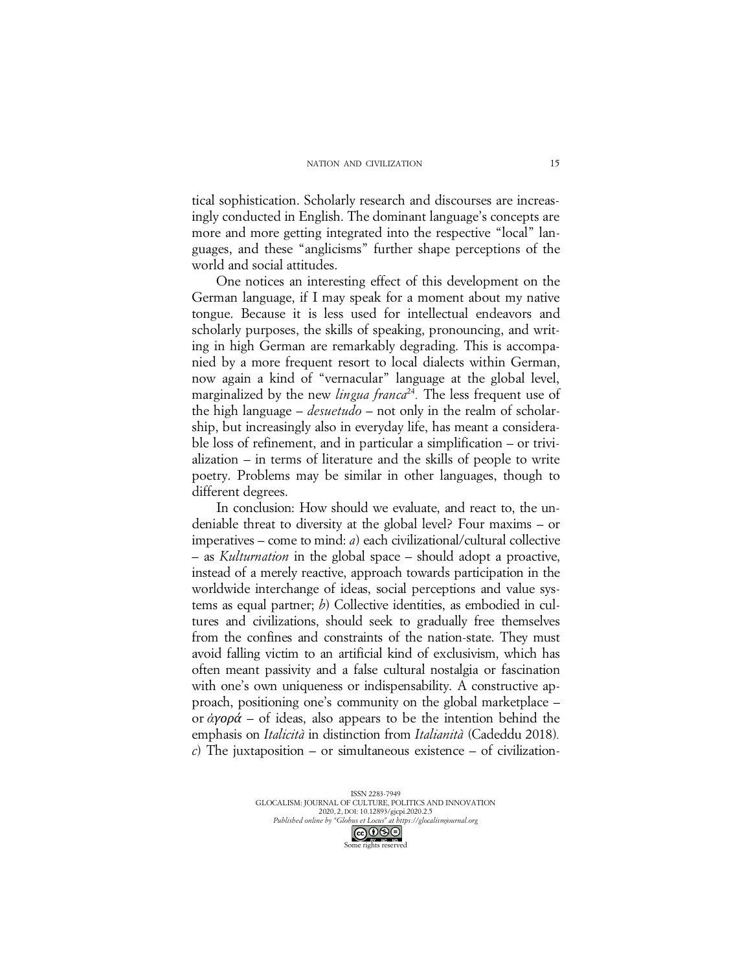tical sophistication. Scholarly research and discourses are increasingly conducted in English. The dominant language's concepts are more and more getting integrated into the respective "local" languages, and these "anglicisms" further shape perceptions of the world and social attitudes.

One notices an interesting effect of this development on the German language, if I may speak for a moment about my native tongue. Because it is less used for intellectual endeavors and scholarly purposes, the skills of speaking, pronouncing, and writing in high German are remarkably degrading. This is accompanied by a more frequent resort to local dialects within German, now again a kind of "vernacular" language at the global level, marginalized by the new *lingua franca*<sup>24</sup>. The less frequent use of the high language – *desuetudo* – not only in the realm of scholarship, but increasingly also in everyday life, has meant a considerable loss of refinement, and in particular a simplification – or trivialization – in terms of literature and the skills of people to write poetry. Problems may be similar in other languages, though to different degrees.

In conclusion: How should we evaluate, and react to, the undeniable threat to diversity at the global level? Four maxims – or imperatives – come to mind: *a*) each civilizational/cultural collective – as *Kulturnation* in the global space – should adopt a proactive, instead of a merely reactive, approach towards participation in the worldwide interchange of ideas, social perceptions and value systems as equal partner; *b*) Collective identities, as embodied in cultures and civilizations, should seek to gradually free themselves from the confines and constraints of the nation-state. They must avoid falling victim to an artificial kind of exclusivism, which has often meant passivity and a false cultural nostalgia or fascination with one's own uniqueness or indispensability. A constructive approach, positioning one's community on the global marketplace – or *ἀγορά* – of ideas, also appears to be the intention behind the emphasis on *Italicità* in distinction from *Italianità* (Cadeddu 2018)*. c*) The juxtaposition – or simultaneous existence – of civilization-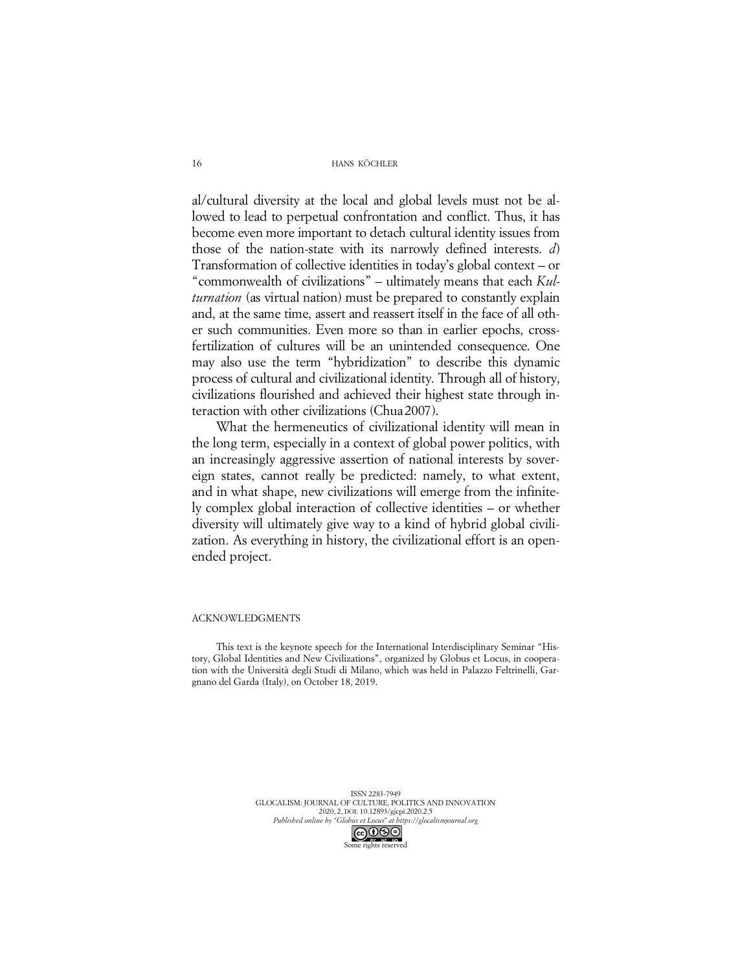al/cultural diversity at the local and global levels must not be allowed to lead to perpetual confrontation and conflict. Thus, it has become even more important to detach cultural identity issues from those of the nation-state with its narrowly defined interests. *d*) Transformation of collective identities in today's global context – or "commonwealth of civilizations" – ultimately means that each *Kulturnation* (as virtual nation) must be prepared to constantly explain and, at the same time, assert and reassert itself in the face of all other such communities. Even more so than in earlier epochs, crossfertilization of cultures will be an unintended consequence. One may also use the term "hybridization" to describe this dynamic process of cultural and civilizational identity. Through all of history, civilizations flourished and achieved their highest state through interaction with other civilizations (Chua2007).

What the hermeneutics of civilizational identity will mean in the long term, especially in a context of global power politics, with an increasingly aggressive assertion of national interests by sovereign states, cannot really be predicted: namely, to what extent, and in what shape, new civilizations will emerge from the infinitely complex global interaction of collective identities – or whether diversity will ultimately give way to a kind of hybrid global civilization. As everything in history, the civilizational effort is an openended project.

#### ACKNOWLEDGMENTS

This text is the keynote speech for the International Interdisciplinary Seminar "History, Global Identities and New Civilizations", organized by Globus et Locus, in cooperation with the Università degli Studi di Milano, which was held in Palazzo Feltrinelli, Gargnano del Garda (Italy), on October 18, 2019.

> ISSN 2283-7949 GLOCALISM: JOURNAL OF CULTURE, POLITICS AND INNOVATION 2020, 2, DOI: 10.12893/gjcpi.2020.2.5 *Published online by "Globus et Locus" at https://glocalismjournal.org*



16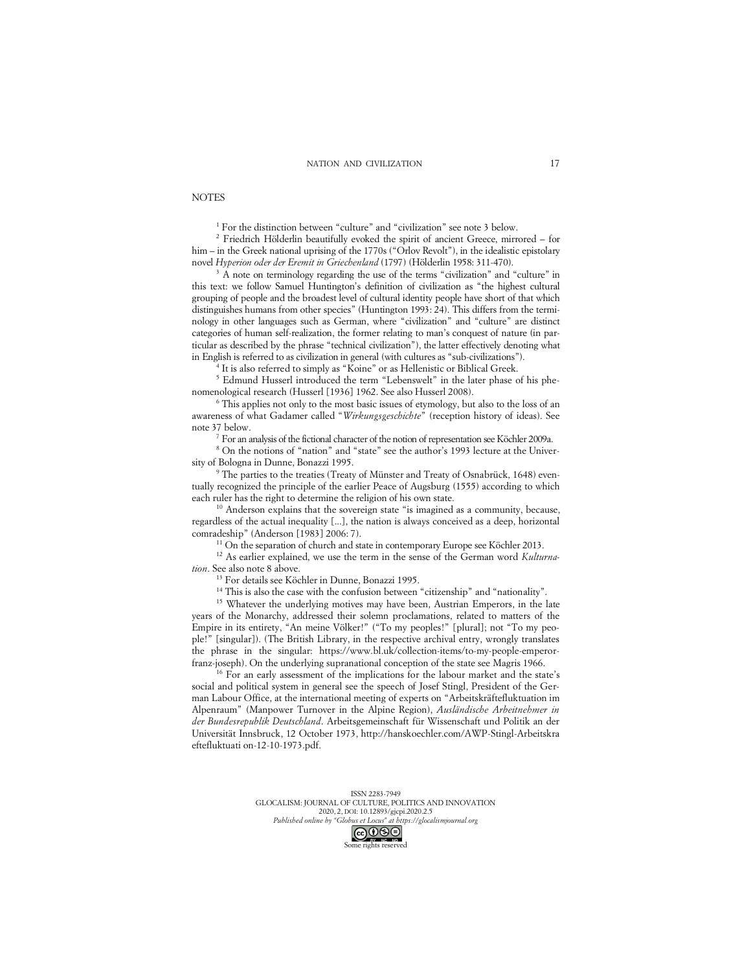#### **NOTES**

<sup>1</sup> For the distinction between "culture" and "civilization" see note 3 below.

<sup>2</sup> Friedrich Hölderlin beautifully evoked the spirit of ancient Greece, mirrored – for him – in the Greek national uprising of the 1770s ("Orlov Revolt"), in the idealistic epistolary novel *Hyperion oder der Eremit in Griechenland* (1797) (Hölderlin 1958: 311-470).

<sup>3</sup> A note on terminology regarding the use of the terms "civilization" and "culture" in this text: we follow Samuel Huntington's definition of civilization as "the highest cultural grouping of people and the broadest level of cultural identity people have short of that which distinguishes humans from other species" (Huntington 1993: 24). This differs from the terminology in other languages such as German, where "civilization" and "culture" are distinct categories of human self-realization, the former relating to man's conquest of nature (in particular as described by the phrase "technical civilization"), the latter effectively denoting what in English is referred to as civilization in general (with cultures as "sub-civilizations").

<sup>4</sup> It is also referred to simply as "Koine" or as Hellenistic or Biblical Greek.

<sup>5</sup> Edmund Husserl introduced the term "Lebenswelt" in the later phase of his phenomenological research (Husserl [1936] 1962. See also Husserl 2008).

<sup>6</sup> This applies not only to the most basic issues of etymology, but also to the loss of an awareness of what Gadamer called "*Wirkungsgeschichte*" (reception history of ideas). See note 37 below.

<sup>7</sup> For an analysis of the fictional character of the notion of representation see Köchler 2009a.

<sup>8</sup> On the notions of "nation" and "state" see the author's 1993 lecture at the University of Bologna in Dunne, Bonazzi 1995.

<sup>9</sup> The parties to the treaties (Treaty of Münster and Treaty of Osnabrück, 1648) eventually recognized the principle of the earlier Peace of Augsburg (1555) according to which each ruler has the right to determine the religion of his own state.

<sup>10</sup> Anderson explains that the sovereign state "is imagined as a community, because, regardless of the actual inequality [...], the nation is always conceived as a deep, horizontal comradeship" (Anderson [1983] 2006: 7).

<sup>11</sup> On the separation of church and state in contemporary Europe see Köchler 2013.

<sup>12</sup> As earlier explained, we use the term in the sense of the German word *Kulturnation*. See also note 8 above.

<sup>13</sup> For details see Köchler in Dunne, Bonazzi 1995.

<sup>14</sup> This is also the case with the confusion between "citizenship" and "nationality".

<sup>15</sup> Whatever the underlying motives may have been, Austrian Emperors, in the late years of the Monarchy, addressed their solemn proclamations, related to matters of the Empire in its entirety, "An meine Völker!" ("To my peoples!" [plural]; not "To my people!" [singular]). (The British Library, in the respective archival entry, wrongly translates the phrase in the singular: https://www.bl.uk/collection-items/to-my-people-emperorfranz-joseph). On the underlying supranational conception of the state see Magris 1966.

<sup>16</sup> For an early assessment of the implications for the labour market and the state's social and political system in general see the speech of Josef Stingl, President of the German Labour Office, at the international meeting of experts on "Arbeitskräftefluktuation im Alpenraum" (Manpower Turnover in the Alpine Region), *Ausländische Arbeitnehmer in der Bundesrepublik Deutschland*. Arbeitsgemeinschaft für Wissenschaft und Politik an der Universität Innsbruck, 12 October 1973, http://hanskoechler.com/AWP-Stingl-Arbeitskra eftefluktuati on-12-10-1973.pdf.

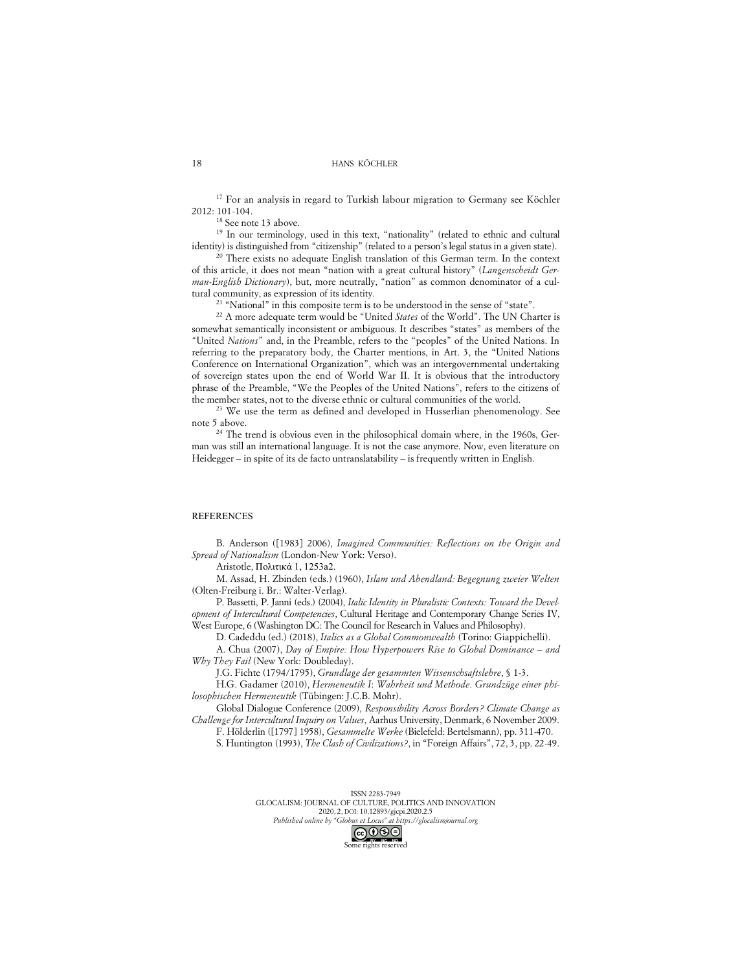<sup>17</sup> For an analysis in regard to Turkish labour migration to Germany see Köchler 2012: 101-104.

<sup>18</sup> See note 13 above.

<sup>19</sup> In our terminology, used in this text, "nationality" (related to ethnic and cultural identity) is distinguished from "citizenship" (related to a person's legal status in a given state).

There exists no adequate English translation of this German term. In the context of this article, it does not mean "nation with a great cultural history" (*Langenscheidt German-English Dictionary*), but, more neutrally, "nation" as common denominator of a cultural community, as expression of its identity.

<sup>21</sup> "National" in this composite term is to be understood in the sense of "state".

<sup>22</sup> A more adequate term would be "United *States* of the World". The UN Charter is somewhat semantically inconsistent or ambiguous. It describes "states" as members of the "United *Nations*" and, in the Preamble, refers to the "peoples" of the United Nations. In referring to the preparatory body, the Charter mentions, in Art. 3, the "United Nations Conference on International Organization", which was an intergovernmental undertaking of sovereign states upon the end of World War II. It is obvious that the introductory phrase of the Preamble, "We the Peoples of the United Nations", refers to the citizens of the member states, not to the diverse ethnic or cultural communities of the world.<br><sup>23</sup> We use the term as defined and developed in Husserlian phenomenology. See

note 5 above.

<sup>24</sup> The trend is obvious even in the philosophical domain where, in the 1960s, German was still an international language. It is not the case anymore. Now, even literature on Heidegger – in spite of its de facto untranslatability – is frequently written in English.

#### REFERENCES

B. Anderson ([1983] 2006), *Imagined Communities: Reflections on the Origin and Spread of Nationalism* (London-New York: Verso).

Aristotle, Πολιτικά 1, 1253a2.

M. Assad, H. Zbinden (eds.) (1960), *Islam und Abendland: Begegnung zweier Welten* (Olten-Freiburg i. Br.: Walter-Verlag).

P. Bassetti, P. Janni (eds.) (2004), *Italic Identity in Pluralistic Contexts: Toward the Development of Intercultural Competencies*, Cultural Heritage and Contemporary Change Series IV, West Europe, 6 (Washington DC: The Council for Research in Values and Philosophy).

D. Cadeddu (ed.) (2018), *Italics as a Global Commonwealth* (Torino: Giappichelli).

A. Chua (2007), *Day of Empire: How Hyperpowers Rise to Global Dominance – and Why They Fail* (New York: Doubleday).

J.G. Fichte (1794/1795), *Grundlage der gesammten Wissenschsaftslehre*, § 1-3.

H.G. Gadamer (2010), *Hermeneutik I*: *Wahrheit und Methode. Grundzüge einer philosophischen Hermeneutik* (Tübingen: J.C.B. Mohr).

Global Dialogue Conference (2009), *Responsibility Across Borders? Climate Change as Challenge for Intercultural Inquiry on Values*, Aarhus University, Denmark, 6 November 2009.

F. Hölderlin ([1797] 1958), *Gesammelte Werke* (Bielefeld: Bertelsmann), pp. 311-470.

S. Huntington (1993), *The Clash of Civilizations?*, in "Foreign Affairs", 72, 3, pp. 22-49.